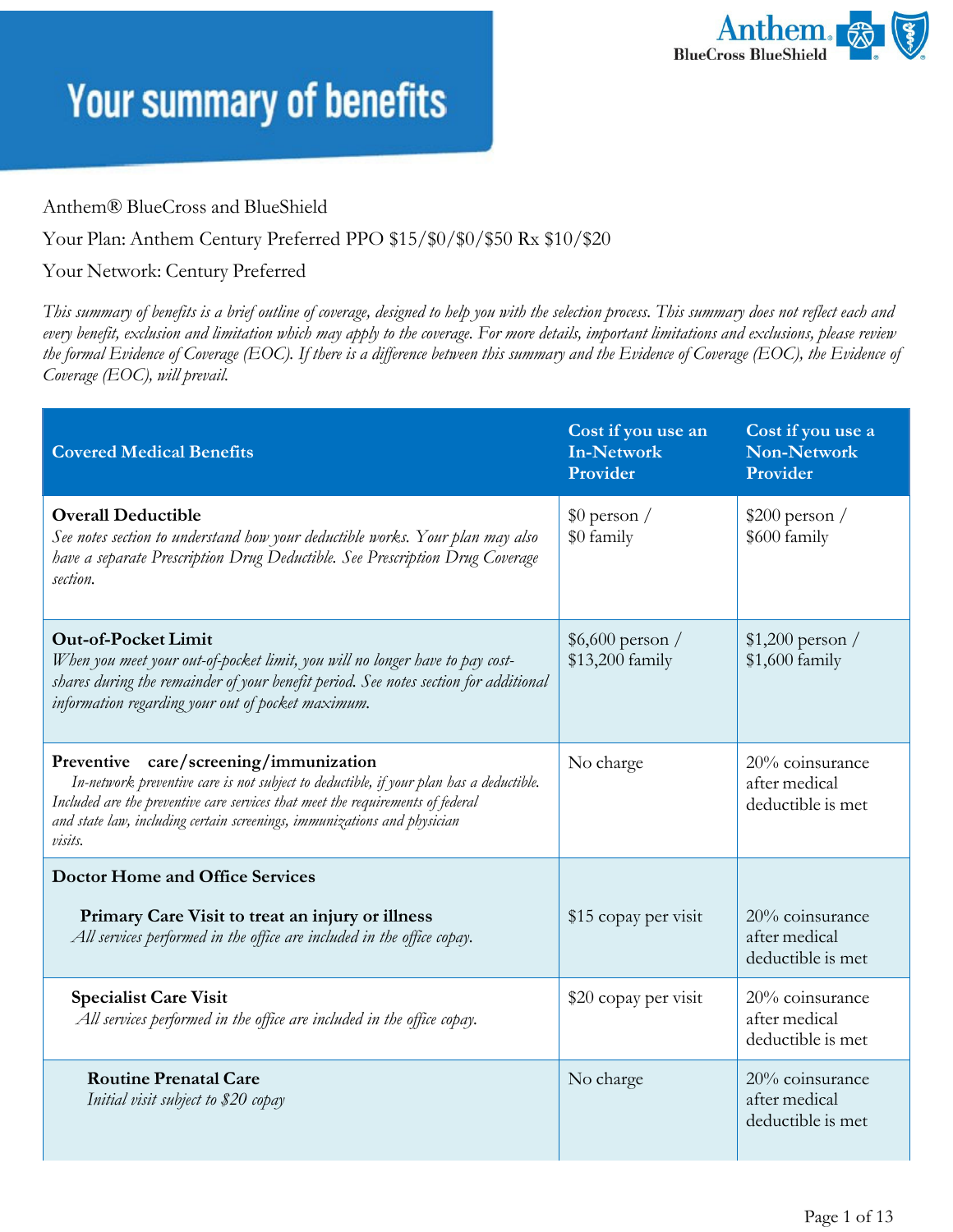

#### Anthem® BlueCross and BlueShield

#### Your Plan: Anthem Century Preferred PPO \$15/\$0/\$0/\$50 Rx \$10/\$20

#### Your Network: Century Preferred

*This summary of benefits is a brief outline of coverage, designed to help you with the selection process. This summary does not reflect each and every benefit, exclusion and limitation which may apply to the coverage. For more details, important limitations and exclusions, please review the formal Evidence of Coverage (EOC). If there is a difference between this summary and the Evidence of Coverage (EOC), the Evidence of Coverage (EOC), will prevail.*

| <b>Covered Medical Benefits</b>                                                                                                                                                                                                                                                                             | Cost if you use an<br><b>In-Network</b><br>Provider | Cost if you use a<br><b>Non-Network</b><br>Provider   |
|-------------------------------------------------------------------------------------------------------------------------------------------------------------------------------------------------------------------------------------------------------------------------------------------------------------|-----------------------------------------------------|-------------------------------------------------------|
| <b>Overall Deductible</b><br>See notes section to understand how your deductible works. Your plan may also<br>have a separate Prescription Drug Deductible. See Prescription Drug Coverage<br>section.                                                                                                      | $$0$ person /<br>\$0 family                         | $$200$ person /<br>\$600 family                       |
| <b>Out-of-Pocket Limit</b><br>When you meet your out-of-pocket limit, you will no longer have to pay cost-<br>shares during the remainder of your benefit period. See notes section for additional<br>information regarding your out of pocket maximum.                                                     | $$6,600$ person /<br>\$13,200 family                | $$1,200$ person /<br>\$1,600 family                   |
| Preventive care/screening/immunization<br>In-network preventive care is not subject to deductible, if your plan has a deductible.<br>Included are the preventive care services that meet the requirements of federal<br>and state law, including certain screenings, immunizations and physician<br>visits. | No charge                                           | 20% coinsurance<br>after medical<br>deductible is met |
| <b>Doctor Home and Office Services</b>                                                                                                                                                                                                                                                                      |                                                     |                                                       |
| Primary Care Visit to treat an injury or illness<br>All services performed in the office are included in the office copay.                                                                                                                                                                                  | \$15 copay per visit                                | 20% coinsurance<br>after medical<br>deductible is met |
| <b>Specialist Care Visit</b><br>All services performed in the office are included in the office copay.                                                                                                                                                                                                      | \$20 copay per visit                                | 20% coinsurance<br>after medical<br>deductible is met |
| <b>Routine Prenatal Care</b><br>Initial visit subject to \$20 copay                                                                                                                                                                                                                                         | No charge                                           | 20% coinsurance<br>after medical<br>deductible is met |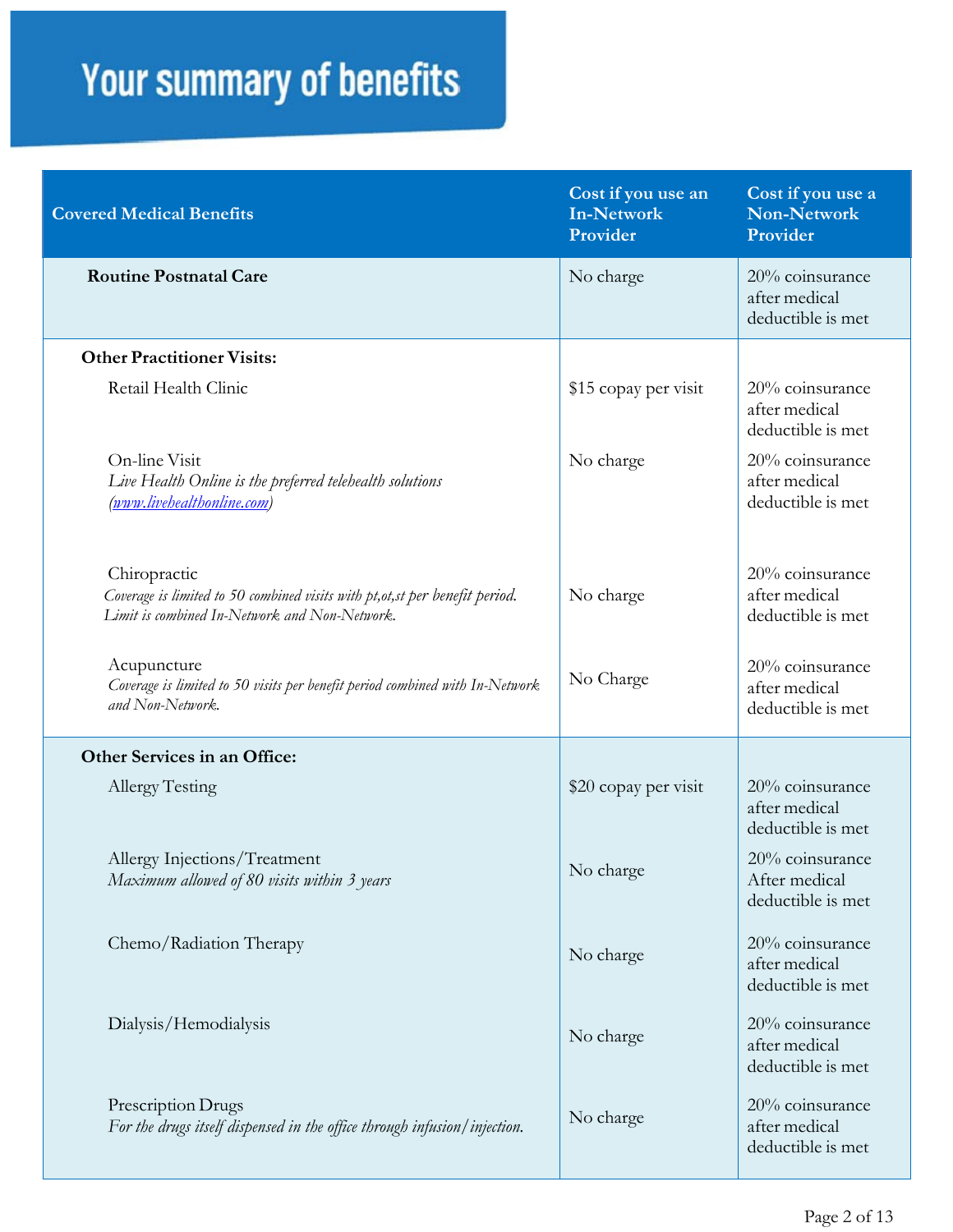| <b>Covered Medical Benefits</b>                                                                                                                | Cost if you use an<br><b>In-Network</b><br>Provider | Cost if you use a<br><b>Non-Network</b><br>Provider   |
|------------------------------------------------------------------------------------------------------------------------------------------------|-----------------------------------------------------|-------------------------------------------------------|
| <b>Routine Postnatal Care</b>                                                                                                                  | No charge                                           | 20% coinsurance<br>after medical<br>deductible is met |
| <b>Other Practitioner Visits:</b>                                                                                                              |                                                     |                                                       |
| Retail Health Clinic                                                                                                                           | \$15 copay per visit                                | 20% coinsurance<br>after medical<br>deductible is met |
| On-line Visit<br>Live Health Online is the preferred telehealth solutions<br>(www.livehealthonline.com)                                        | No charge                                           | 20% coinsurance<br>after medical<br>deductible is met |
| Chiropractic<br>Coverage is limited to 50 combined visits with pt, ot, st per benefit period.<br>Limit is combined In-Network and Non-Network. | No charge                                           | 20% coinsurance<br>after medical<br>deductible is met |
| Acupuncture<br>Coverage is limited to 50 visits per benefit period combined with In-Network<br>and Non-Network.                                | No Charge                                           | 20% coinsurance<br>after medical<br>deductible is met |
| Other Services in an Office:                                                                                                                   |                                                     |                                                       |
| Allergy Testing                                                                                                                                | \$20 copay per visit                                | 20% coinsurance<br>after medical<br>deductible is met |
| Allergy Injections/Treatment<br>Maximum allowed of 80 visits within 3 years                                                                    | No charge                                           | 20% coinsurance<br>After medical<br>deductible is met |
| Chemo/Radiation Therapy                                                                                                                        | No charge                                           | 20% coinsurance<br>after medical<br>deductible is met |
| Dialysis/Hemodialysis                                                                                                                          | No charge                                           | 20% coinsurance<br>after medical<br>deductible is met |
| Prescription Drugs<br>For the drugs itself dispensed in the office through infusion/injection.                                                 | No charge                                           | 20% coinsurance<br>after medical<br>deductible is met |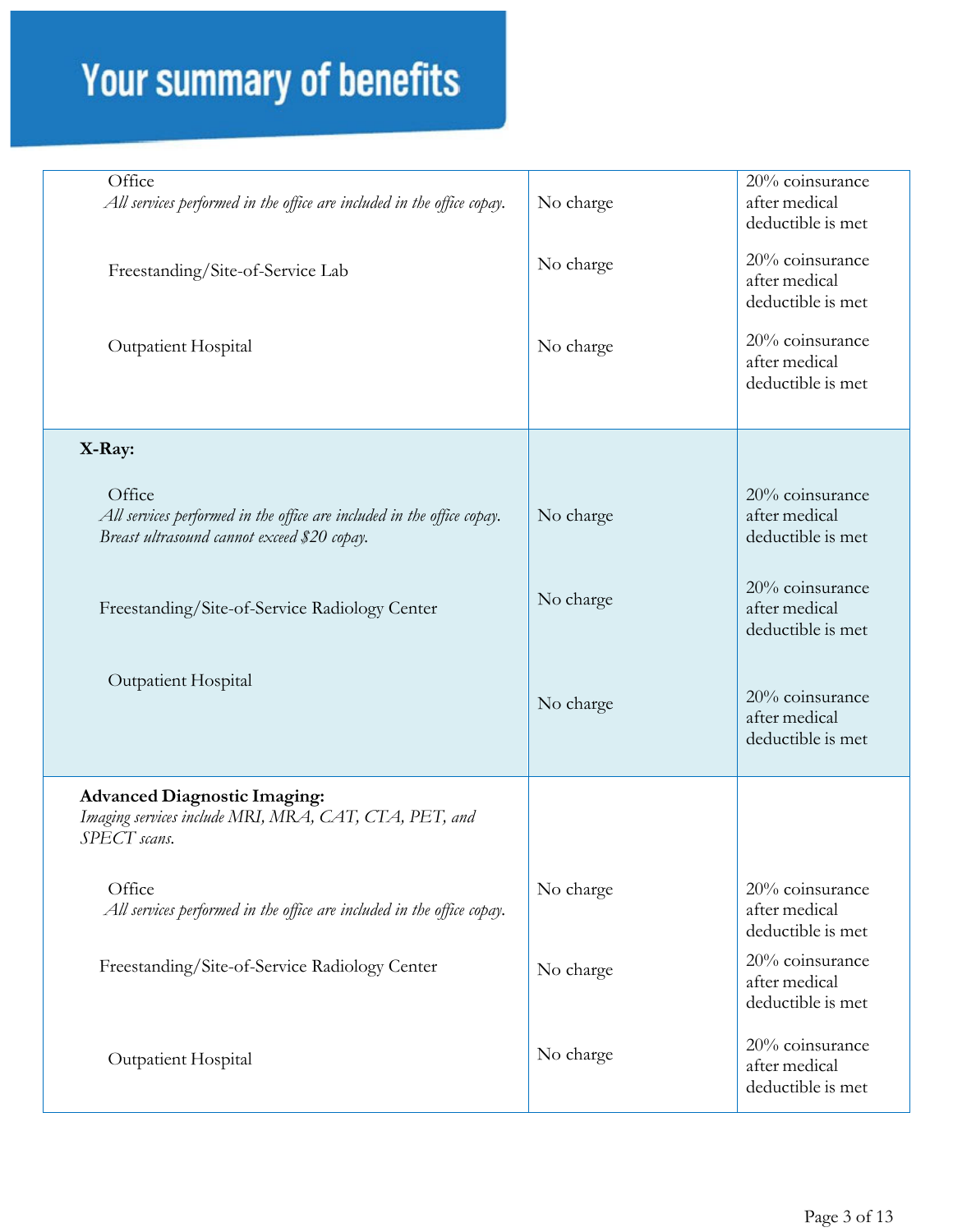| Office<br>All services performed in the office are included in the office copay.                                                | No charge | $20%$ coinsurance<br>after medical<br>deductible is met |
|---------------------------------------------------------------------------------------------------------------------------------|-----------|---------------------------------------------------------|
| Freestanding/Site-of-Service Lab                                                                                                | No charge | 20% coinsurance<br>after medical<br>deductible is met   |
| Outpatient Hospital                                                                                                             | No charge | 20% coinsurance<br>after medical<br>deductible is met   |
| X-Ray:                                                                                                                          |           |                                                         |
| Office<br>All services performed in the office are included in the office copay.<br>Breast ultrasound cannot exceed \$20 copay. | No charge | 20% coinsurance<br>after medical<br>deductible is met   |
| Freestanding/Site-of-Service Radiology Center                                                                                   | No charge | 20% coinsurance<br>after medical<br>deductible is met   |
| <b>Outpatient Hospital</b>                                                                                                      | No charge | 20% coinsurance<br>after medical<br>deductible is met   |
| <b>Advanced Diagnostic Imaging:</b><br>Imaging services include MRI, MRA, CAT, CTA, PET, and<br>SPECT scans.                    |           |                                                         |
| Office<br>All services performed in the office are included in the office copay.                                                | No charge | 20% coinsurance<br>after medical<br>deductible is met   |
| Freestanding/Site-of-Service Radiology Center                                                                                   | No charge | 20% coinsurance<br>after medical<br>deductible is met   |
| Outpatient Hospital                                                                                                             | No charge | 20% coinsurance<br>after medical<br>deductible is met   |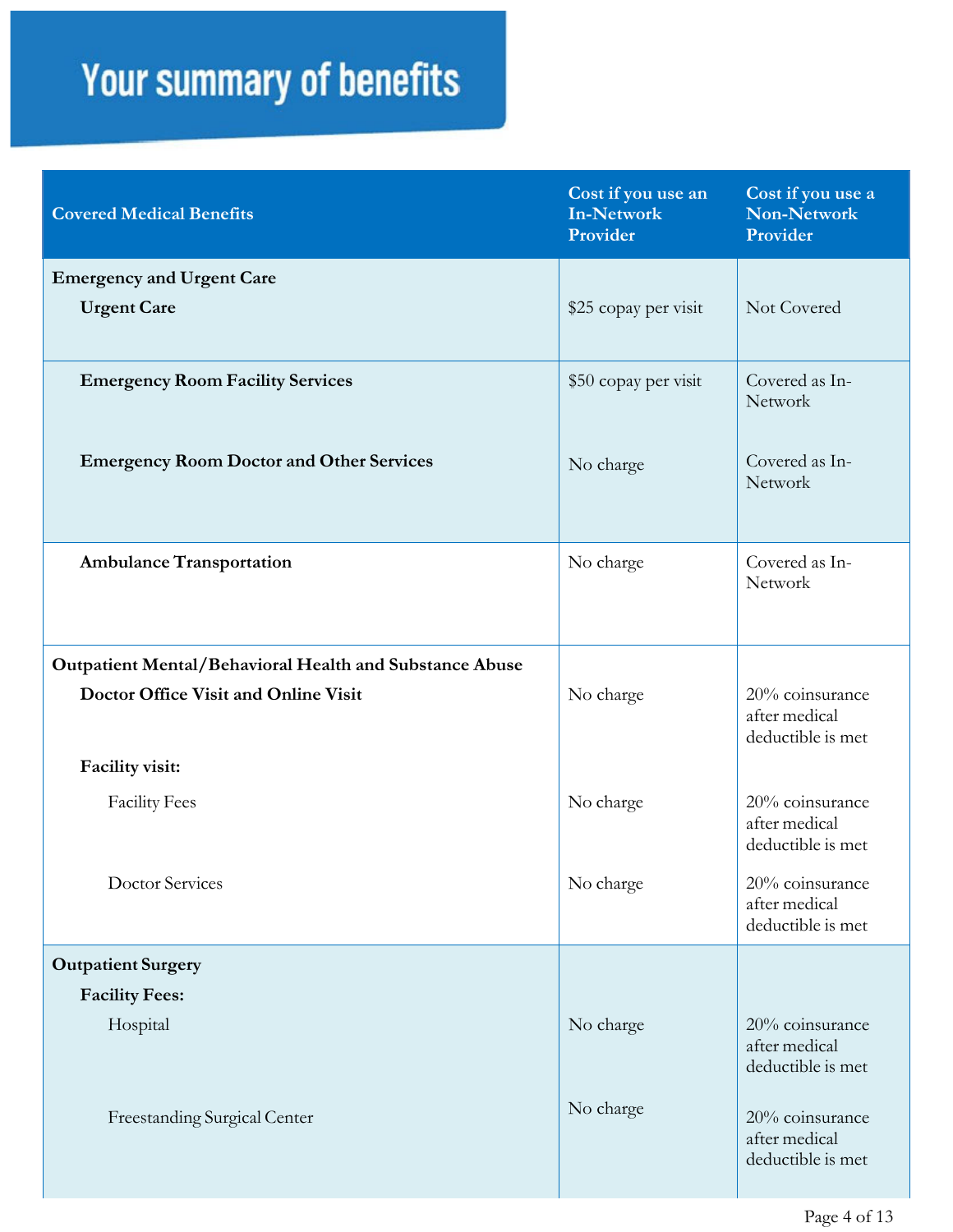| <b>Covered Medical Benefits</b>                         | Cost if you use an<br><b>In-Network</b><br>Provider | Cost if you use a<br>Non-Network<br>Provider          |
|---------------------------------------------------------|-----------------------------------------------------|-------------------------------------------------------|
| <b>Emergency and Urgent Care</b>                        |                                                     |                                                       |
| <b>Urgent Care</b>                                      | \$25 copay per visit                                | Not Covered                                           |
| <b>Emergency Room Facility Services</b>                 | \$50 copay per visit                                | Covered as In-<br>Network                             |
| <b>Emergency Room Doctor and Other Services</b>         | No charge                                           | Covered as In-<br>Network                             |
| <b>Ambulance Transportation</b>                         | No charge                                           | Covered as In-<br>Network                             |
| Outpatient Mental/Behavioral Health and Substance Abuse |                                                     |                                                       |
| Doctor Office Visit and Online Visit                    | No charge                                           | 20% coinsurance<br>after medical<br>deductible is met |
| Facility visit:                                         |                                                     |                                                       |
| <b>Facility Fees</b>                                    | No charge                                           | 20% coinsurance<br>after medical<br>deductible is met |
| <b>Doctor Services</b>                                  | No charge                                           | 20% coinsurance<br>after medical<br>deductible is met |
| <b>Outpatient Surgery</b>                               |                                                     |                                                       |
| <b>Facility Fees:</b>                                   |                                                     |                                                       |
| Hospital                                                | No charge                                           | 20% coinsurance<br>after medical<br>deductible is met |
| Freestanding Surgical Center                            | No charge                                           | 20% coinsurance<br>after medical<br>deductible is met |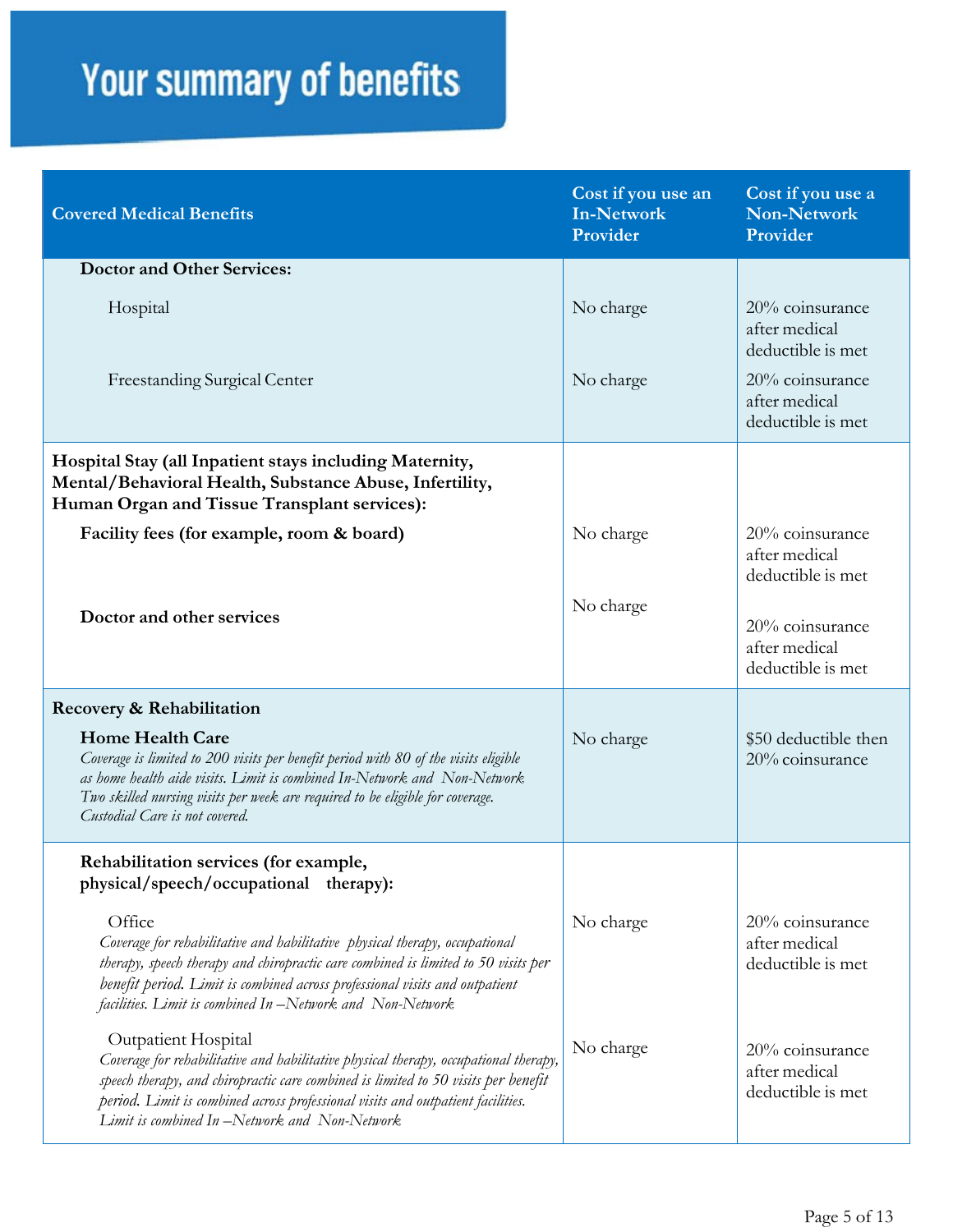| <b>Covered Medical Benefits</b>                                                                                                                                                                                                                                                                                                      | Cost if you use an<br>In-Network<br>Provider | Cost if you use a<br><b>Non-Network</b><br>Provider   |
|--------------------------------------------------------------------------------------------------------------------------------------------------------------------------------------------------------------------------------------------------------------------------------------------------------------------------------------|----------------------------------------------|-------------------------------------------------------|
| <b>Doctor and Other Services:</b>                                                                                                                                                                                                                                                                                                    |                                              |                                                       |
| Hospital                                                                                                                                                                                                                                                                                                                             | No charge                                    | 20% coinsurance<br>after medical<br>deductible is met |
| Freestanding Surgical Center                                                                                                                                                                                                                                                                                                         | No charge                                    | 20% coinsurance<br>after medical<br>deductible is met |
| Hospital Stay (all Inpatient stays including Maternity,<br>Mental/Behavioral Health, Substance Abuse, Infertility,<br>Human Organ and Tissue Transplant services):                                                                                                                                                                   |                                              |                                                       |
| Facility fees (for example, room & board)                                                                                                                                                                                                                                                                                            | No charge                                    | 20% coinsurance<br>after medical<br>deductible is met |
| Doctor and other services                                                                                                                                                                                                                                                                                                            | No charge                                    | 20% coinsurance<br>after medical<br>deductible is met |
| Recovery & Rehabilitation                                                                                                                                                                                                                                                                                                            |                                              |                                                       |
| <b>Home Health Care</b><br>Coverage is limited to 200 visits per benefit period with 80 of the visits eligible<br>as home health aide visits. Limit is combined In-Network and Non-Network<br>Two skilled nursing visits per week are required to be eligible for coverage.<br>Custodial Care is not covered.                        | No charge                                    | \$50 deductible then<br>20% coinsurance               |
| Rehabilitation services (for example,<br>physical/speech/occupational therapy):                                                                                                                                                                                                                                                      |                                              |                                                       |
| Office<br>Coverage for rehabilitative and habilitative physical therapy, occupational<br>therapy, speech therapy and chiropractic care combined is limited to 50 visits per<br>benefit period. Limit is combined across professional visits and outpatient<br>facilities. Limit is combined In-Network and Non-Network               | No charge                                    | 20% coinsurance<br>after medical<br>deductible is met |
| Outpatient Hospital<br>Coverage for rehabilitative and habilitative physical therapy, occupational therapy,<br>speech therapy, and chiropractic care combined is limited to 50 visits per benefit<br>period. Limit is combined across professional visits and outpatient facilities.<br>Limit is combined In-Network and Non-Network | No charge                                    | 20% coinsurance<br>after medical<br>deductible is met |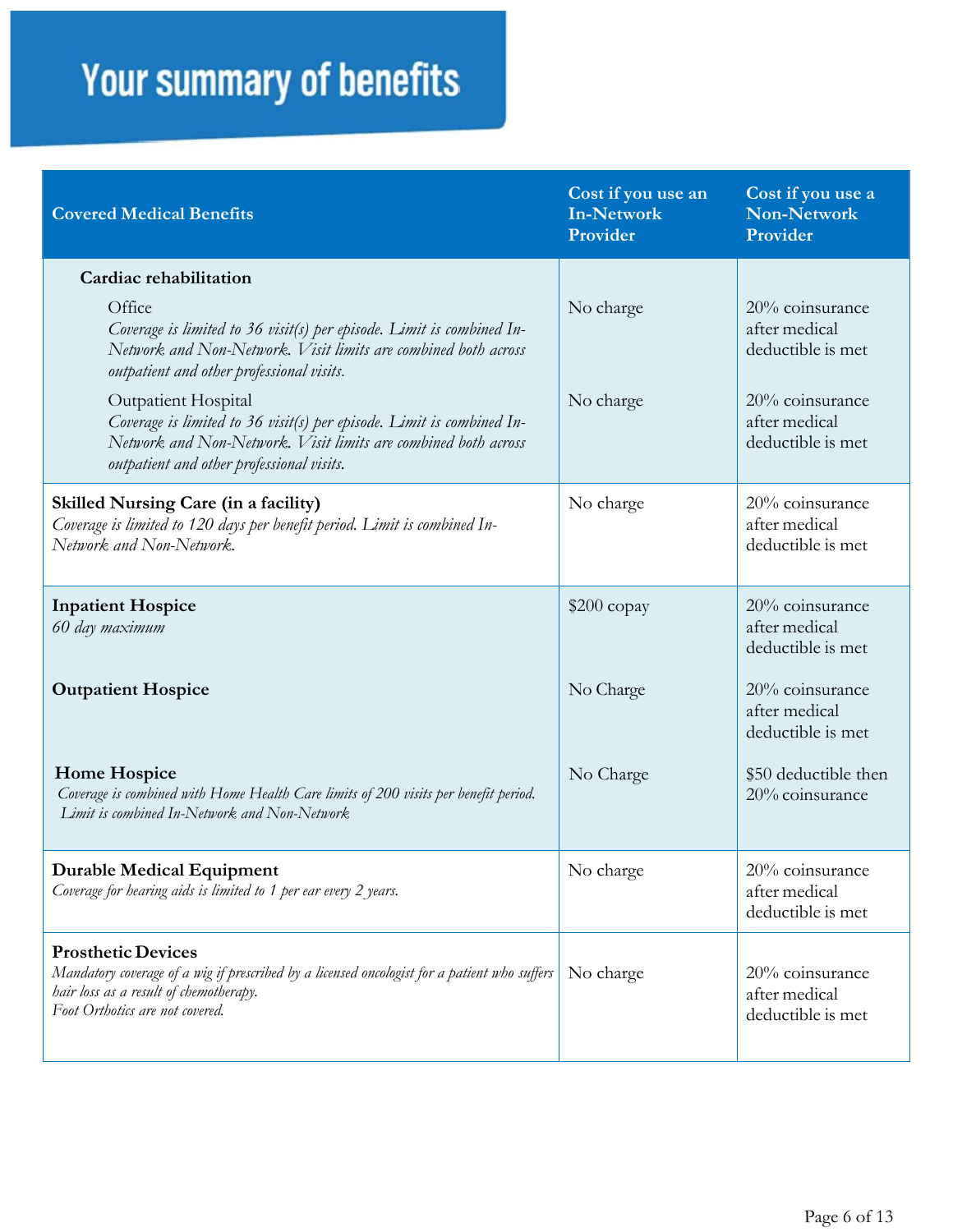| <b>Covered Medical Benefits</b>                                                                                                                                                                             | Cost if you use an<br><b>In-Network</b><br>Provider | Cost if you use a<br><b>Non-Network</b><br>Provider   |
|-------------------------------------------------------------------------------------------------------------------------------------------------------------------------------------------------------------|-----------------------------------------------------|-------------------------------------------------------|
| Cardiac rehabilitation                                                                                                                                                                                      |                                                     |                                                       |
| Office<br>Coverage is limited to 36 visit(s) per episode. Limit is combined In-<br>Network and Non-Network. Visit limits are combined both across<br>outpatient and other professional visits.              | No charge                                           | 20% coinsurance<br>after medical<br>deductible is met |
| Outpatient Hospital<br>Coverage is limited to 36 visit(s) per episode. Limit is combined In-<br>Network and Non-Network. Visit limits are combined both across<br>outpatient and other professional visits. | No charge                                           | 20% coinsurance<br>after medical<br>deductible is met |
| <b>Skilled Nursing Care (in a facility)</b><br>Coverage is limited to 120 days per benefit period. Limit is combined In-<br>Network and Non-Network.                                                        | No charge                                           | 20% coinsurance<br>after medical<br>deductible is met |
| <b>Inpatient Hospice</b><br>60 day maximum                                                                                                                                                                  | $$200$ copay                                        | 20% coinsurance<br>after medical<br>deductible is met |
| <b>Outpatient Hospice</b>                                                                                                                                                                                   | No Charge                                           | 20% coinsurance<br>after medical<br>deductible is met |
| <b>Home Hospice</b><br>Coverage is combined with Home Health Care limits of 200 visits per benefit period.<br>Limit is combined In-Network and Non-Network                                                  | No Charge                                           | \$50 deductible then<br>20% coinsurance               |
| <b>Durable Medical Equipment</b><br>Coverage for hearing aids is limited to 1 per ear every 2 years.                                                                                                        | No charge                                           | 20% coinsurance<br>after medical<br>deductible is met |
| <b>Prosthetic Devices</b><br>Mandatory coverage of a wig if prescribed by a licensed oncologist for a patient who suffers<br>hair loss as a result of chemotherapy.<br>Foot Orthotics are not covered.      | No charge                                           | 20% coinsurance<br>after medical<br>deductible is met |